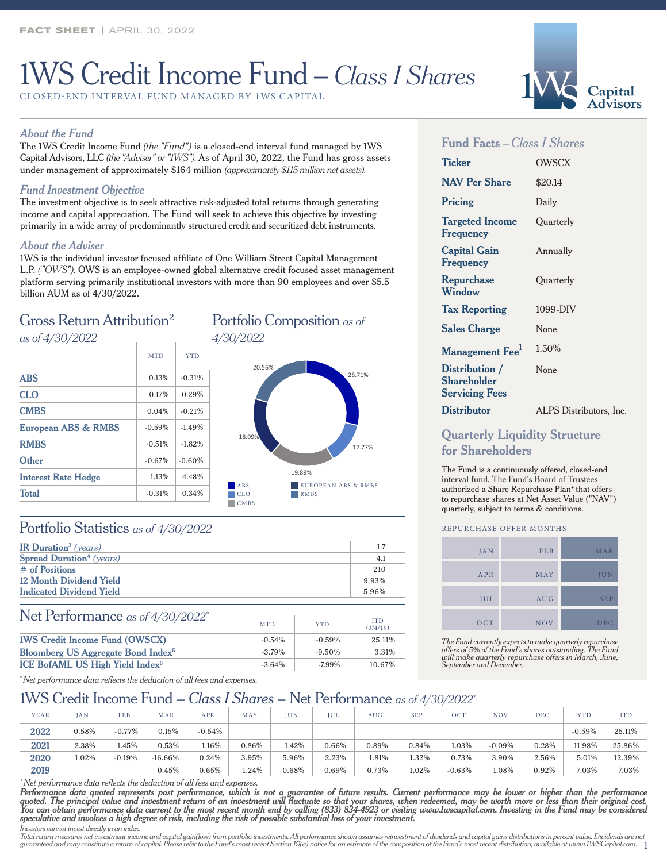# 1WS Credit Income Fund – *Class I Shares*

CLOSED-END INTERVAL FUND MANAGED BY 1WS CAPITAL

### *About the Fund*

The 1WS Credit Income Fund *(the "Fund")* is a closed-end interval fund managed by 1WS Capital Advisors, LLC *(the "Adviser" or "1WS").* As of April 30, 2022, the Fund has gross assets under management of approximately \$164 million *(approximately \$115 million net assets).*

## *Fund Investment Objective*

The investment objective is to seek attractive risk-adjusted total returns through generating income and capital appreciation. The Fund will seek to achieve this objective by investing primarily in a wide array of predominantly structured credit and securitized debt instruments.

#### *About the Adviser*

1WS is the individual investor focused affiliate of One William Street Capital Management L.P. *("OWS").* OWS is an employee-owned global alternative credit focused asset management platform serving primarily institutional investors with more than 90 employees and over \$5.5 billion AUM as of 4/30/2022.



## Portfolio Statistics *as of 4/30/2022*

| IR Duration <sup>3</sup> (years)            | 1.7   |
|---------------------------------------------|-------|
| <b>Spread Duration</b> <sup>4</sup> (years) | 4.1   |
| # of Positions                              | 210   |
| 12 Month Dividend Yield                     | 9.93% |
| <b>Indicated Dividend Yield</b>             | 5.96% |

### Net Performance *as of 4/30/2022\**

| $\frac{1}{2}$ TCL TCH CHRISTIAN CONTROL as 01 T/00/2022 | <b>MTD</b> | <b>YTD</b> | <b>ITD</b><br>(3/4/19) |
|---------------------------------------------------------|------------|------------|------------------------|
| <b>1WS Credit Income Fund (OWSCX)</b>                   | $-0.54\%$  | $-0.59\%$  | 25.11%                 |
| <b>Bloomberg US Aggregate Bond Index<sup>5</sup></b>    | $-3.79\%$  | $-9.50\%$  | 3.31%                  |
| ICE BofAML US High Yield Index <sup>6</sup>             | $-3.64\%$  | $-7.99\%$  | 10.67%                 |

# **Ticker** OWSCX

**Fund Facts** *– Class I Shares*

| <b>NAV Per Share</b>                                   | \$20.14                 |
|--------------------------------------------------------|-------------------------|
| Pricing                                                | Daily                   |
| <b>Targeted Income</b><br>Frequency                    | Ouarterly               |
| <b>Capital Gain</b><br>Frequency                       | Annually                |
| Repurchase<br>Window                                   | Ouarterly               |
| <b>Tax Reporting</b>                                   | 1099-DIV                |
| <b>Sales Charge</b>                                    | None                    |
| Management Fee <sup>1</sup>                            | 1.50%                   |
| Distribution /<br>Shareholder<br><b>Servicing Fees</b> | None                    |
| <b>Distributor</b>                                     | ALPS Distributors, Inc. |

## **Quarterly Liquidity Structure for Shareholders**

The Fund is a continuously offered, closed-end interval fund. The Fund's Board of Trustees authorized a Share Repurchase Plan<sup>+</sup> that offers to repurchase shares at Net Asset Value ("NAV") quarterly, subject to terms & conditions.

#### REPURCHASE OFFER MONTHS

| <b>JAN</b> | FEB        | MAR        |
|------------|------------|------------|
| APR        | MAY        | JUN        |
| JUL        | <b>AUG</b> | <b>SEP</b> |
| OCT        | <b>NOV</b> | <b>DEC</b> |

*The Fund currently expects to make quarterly repurchase offers of 5% of the Fund's shares outstanding. The Fund will make quarterly repurchase offers in March, June, September and December.*

*\* Net performance data reflects the deduction of all fees and expenses.*

## 1WS Credit Income Fund – *Class I Shares* – Net Performance *as of 4/30/2022\**

 $\pm$ 

| YEAR | AN    | <b>FEB</b> | MAR       | <b>APR</b> | MAY   | <b>IUN</b> | <b>IUL</b> | AUG   | <b>SEP</b> | OCT      | <b>NOV</b> | DEC      | <b>YTD</b> | <b>ITD</b> |
|------|-------|------------|-----------|------------|-------|------------|------------|-------|------------|----------|------------|----------|------------|------------|
| 2022 | 0.58% | $-0.77%$   | $0.15\%$  | $-0.54%$   |       |            |            |       |            |          |            |          | $-0.59%$   | 25.11%     |
| 2021 | 2.38% | 1.45%      | 0.53%     | 1.16%      | 0.86% | 1.42%      | 0.66%      | 0.89% | 0.84%      | 1.03%    | $-0.09%$   | 0.28%    | 11.98%     | 25.86%     |
| 2020 | 1.02% | $-0.19%$   | $-16.66%$ | $0.24\%$   | 3.95% | 5.96%      | 2.23%      | 1.81% | 1.32%      | 0.73%    | 3.90%      | $2.56\%$ | 5.01%      | 12.39%     |
| 2019 |       |            | 0.45%     | 0.65%      | 1.24% | 0.68%      | 0.69%      | 0.73% | 1.02%      | $-0.63%$ | 1.08%      | 0.92%    | 7.03%      | 7.03%      |

28.71%

12.77%

*\* Net performance data reflects the deduction of all fees and expenses.*

*Performance data quoted represents past performance, which is not a guarantee of future results. Current performance may be lower or higher than the performance quoted. The principal value and investment return of an investment will fluctuate so that your shares, when redeemed, may be worth more or less than their original cost.*  You can obtain performance data current to the most recent month end by calling (833) 834-4923 or visiting www.Iwscapital.com. Investing in the Fund may be considered<br>speculative and involves a high degree of risk, includi

*Investors cannot invest directly in an index.*

guaranteed and may constitute a return of capital. Please refer to the Fund's most recent Section 19(a) notice for an estimate of the composition of the Fund's most recent distribution, available at www.1WSCapital.com.  $\$ Total return measures net investment income and capital gain(loss) from portfolio investments. All performance shown assumes reinvestment of dividends and capital gains distributions in percent value. Dividends are not